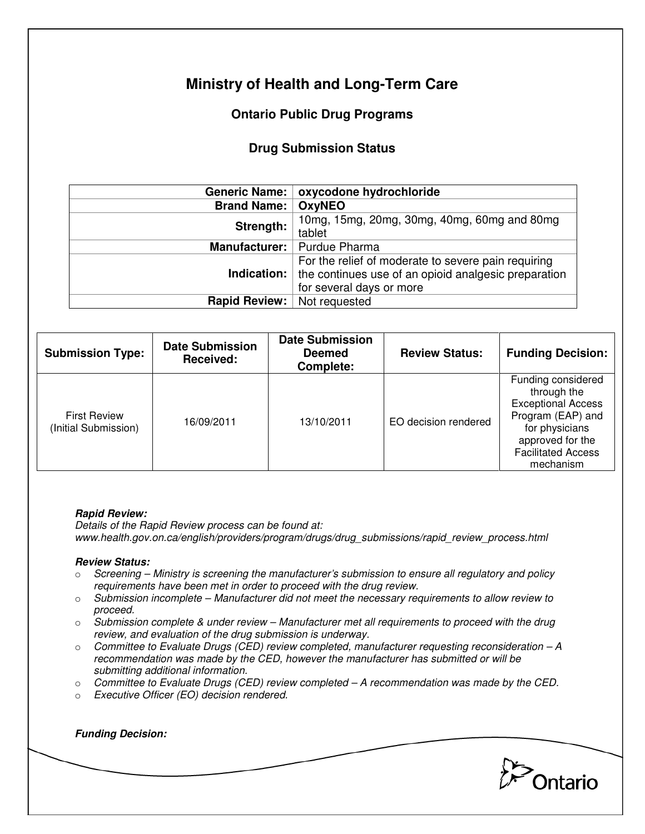# **Ministry of Health and Long-Term Care**

## **Ontario Public Drug Programs**

### **Drug Submission Status**

|                             | Generic Name:   oxycodone hydrochloride                                                                                                                    |  |
|-----------------------------|------------------------------------------------------------------------------------------------------------------------------------------------------------|--|
| <b>Brand Name:   OxyNEO</b> |                                                                                                                                                            |  |
| Strength:                   | 10mg, 15mg, 20mg, 30mg, 40mg, 60mg and 80mg<br>tablet                                                                                                      |  |
|                             | Manufacturer:   Purdue Pharma                                                                                                                              |  |
|                             | For the relief of moderate to severe pain requiring<br><b>Indication:</b> the continues use of an opioid analgesic preparation<br>for several days or more |  |
| Rapid Review:               | Not requested                                                                                                                                              |  |

| <b>Submission Type:</b>                     | <b>Date Submission</b><br>Received: | <b>Date Submission</b><br><b>Deemed</b><br>Complete: | <b>Review Status:</b> | <b>Funding Decision:</b>                                                                                                                                            |
|---------------------------------------------|-------------------------------------|------------------------------------------------------|-----------------------|---------------------------------------------------------------------------------------------------------------------------------------------------------------------|
| <b>First Review</b><br>(Initial Submission) | 16/09/2011                          | 13/10/2011                                           | EO decision rendered  | Funding considered<br>through the<br><b>Exceptional Access</b><br>Program (EAP) and<br>for physicians<br>approved for the<br><b>Facilitated Access</b><br>mechanism |

#### **Rapid Review:**

Details of the Rapid Review process can be found at: www.health.gov.on.ca/english/providers/program/drugs/drug\_submissions/rapid\_review\_process.html

#### **Review Status:**

**Funding Decision:** 

- $\circ$  Screening Ministry is screening the manufacturer's submission to ensure all regulatory and policy requirements have been met in order to proceed with the drug review.
- $\circ$  Submission incomplete Manufacturer did not meet the necessary requirements to allow review to proceed.
- $\circ$  Submission complete & under review Manufacturer met all requirements to proceed with the drug review, and evaluation of the drug submission is underway.
- $\circ$  Committee to Evaluate Drugs (CED) review completed, manufacturer requesting reconsideration  $-A$ recommendation was made by the CED, however the manufacturer has submitted or will be submitting additional information.
- $\circ$  Committee to Evaluate Drugs (CED) review completed  $-A$  recommendation was made by the CED.
- o Executive Officer (EO) decision rendered.

**Pontario**